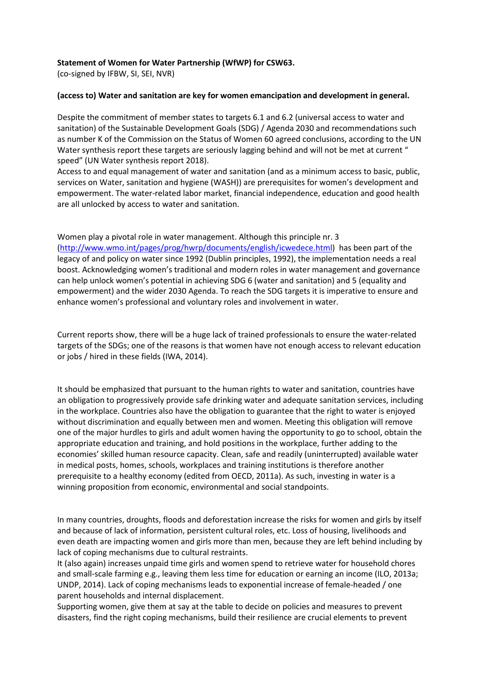## **Statement of Women for Water Partnership (WfWP) for CSW63.**

(co-signed by IFBW, SI, SEI, NVR)

## **(access to) Water and sanitation are key for women emancipation and development in general.**

Despite the commitment of member states to targets 6.1 and 6.2 (universal access to water and sanitation) of the Sustainable Development Goals (SDG) / Agenda 2030 and recommendations such as number K of the Commission on the Status of Women 60 agreed conclusions, according to the UN Water synthesis report these targets are seriously lagging behind and will not be met at current " speed" (UN Water synthesis report 2018).

Access to and equal management of water and sanitation (and as a minimum access to basic, public, services on Water, sanitation and hygiene (WASH)) are prerequisites for women's development and empowerment. The water-related labor market, financial independence, education and good health are all unlocked by access to water and sanitation.

Women play a pivotal role in water management. Although this principle nr. 3 [\(http://www.wmo.int/pages/prog/hwrp/documents/english/icwedece.html\)](http://www.wmo.int/pages/prog/hwrp/documents/english/icwedece.html) has been part of the legacy of and policy on water since 1992 (Dublin principles, 1992), the implementation needs a real boost. Acknowledging women's traditional and modern roles in water management and governance can help unlock women's potential in achieving SDG 6 (water and sanitation) and 5 (equality and empowerment) and the wider 2030 Agenda. To reach the SDG targets it is imperative to ensure and enhance women's professional and voluntary roles and involvement in water.

Current reports show, there will be a huge lack of trained professionals to ensure the water-related targets of the SDGs; one of the reasons is that women have not enough access to relevant education or jobs / hired in these fields (IWA, 2014).

It should be emphasized that pursuant to the human rights to water and sanitation, countries have an obligation to progressively provide safe drinking water and adequate sanitation services, including in the workplace. Countries also have the obligation to guarantee that the right to water is enjoyed without discrimination and equally between men and women. Meeting this obligation will remove one of the major hurdles to girls and adult women having the opportunity to go to school, obtain the appropriate education and training, and hold positions in the workplace, further adding to the economies' skilled human resource capacity. Clean, safe and readily (uninterrupted) available water in medical posts, homes, schools, workplaces and training institutions is therefore another prerequisite to a healthy economy (edited from OECD, 2011a). As such, investing in water is a winning proposition from economic, environmental and social standpoints.

In many countries, droughts, floods and deforestation increase the risks for women and girls by itself and because of lack of information, persistent cultural roles, etc. Loss of housing, livelihoods and even death are impacting women and girls more than men, because they are left behind including by lack of coping mechanisms due to cultural restraints.

It (also again) increases unpaid time girls and women spend to retrieve water for household chores and small-scale farming e.g., leaving them less time for education or earning an income (ILO, 2013a; UNDP, 2014). Lack of coping mechanisms leads to exponential increase of female-headed / one parent households and internal displacement.

Supporting women, give them at say at the table to decide on policies and measures to prevent disasters, find the right coping mechanisms, build their resilience are crucial elements to prevent